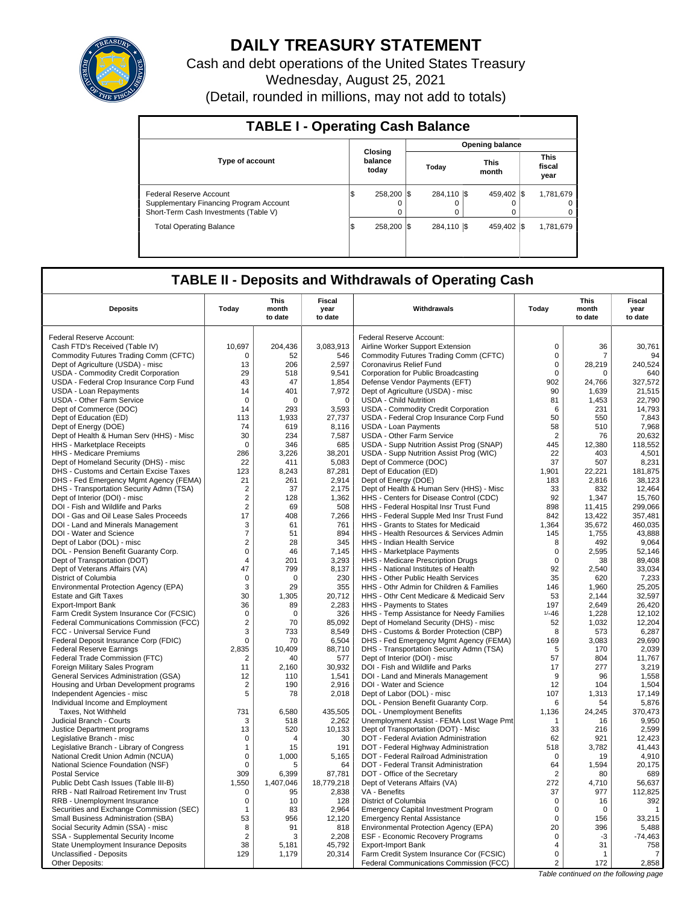

# **DAILY TREASURY STATEMENT**

Cash and debt operations of the United States Treasury Wednesday, August 25, 2021 (Detail, rounded in millions, may not add to totals)

| <b>TABLE I - Operating Cash Balance</b>                                                                     |                             |          |       |                 |                        |                      |  |                                     |  |  |  |  |  |  |
|-------------------------------------------------------------------------------------------------------------|-----------------------------|----------|-------|-----------------|------------------------|----------------------|--|-------------------------------------|--|--|--|--|--|--|
|                                                                                                             |                             |          |       |                 | <b>Opening balance</b> |                      |  |                                     |  |  |  |  |  |  |
| <b>Type of account</b>                                                                                      | Closing<br>balance<br>today |          | Today |                 |                        | <b>This</b><br>month |  | <b>This</b><br>fiscal<br>year       |  |  |  |  |  |  |
| Federal Reserve Account<br>Supplementary Financing Program Account<br>Short-Term Cash Investments (Table V) | 258.200 \\$<br>Φ            | $\Omega$ |       | 284,110 \$<br>0 |                        | 459.402 \\$<br>0     |  | 1,781,679<br>$^{\circ}$<br>$\Omega$ |  |  |  |  |  |  |
| <b>Total Operating Balance</b>                                                                              | 258.200 \\$<br>Φ            |          |       | 284,110 \$      |                        | 459.402 \\$          |  | 1,781,679                           |  |  |  |  |  |  |

# **TABLE II - Deposits and Withdrawals of Operating Cash**

| <b>Deposits</b>                                            | Today          | <b>This</b><br>month<br>to date | <b>Fiscal</b><br>year<br>to date | Withdrawals                                                                     | Today          | <b>This</b><br>month<br>to date | <b>Fiscal</b><br>year<br>to date |  |
|------------------------------------------------------------|----------------|---------------------------------|----------------------------------|---------------------------------------------------------------------------------|----------------|---------------------------------|----------------------------------|--|
|                                                            |                |                                 |                                  |                                                                                 |                |                                 |                                  |  |
| Federal Reserve Account:<br>Cash FTD's Received (Table IV) | 10,697         |                                 |                                  | Federal Reserve Account:                                                        | $\mathbf 0$    | 36                              | 30,761                           |  |
| Commodity Futures Trading Comm (CFTC)                      | 0              | 204,436<br>52                   | 3,083,913<br>546                 | Airline Worker Support Extension<br>Commodity Futures Trading Comm (CFTC)       | $\mathbf 0$    | $\overline{7}$                  | 94                               |  |
| Dept of Agriculture (USDA) - misc                          | 13             | 206                             | 2,597                            | Coronavirus Relief Fund                                                         | $\mathsf 0$    | 28,219                          | 240,524                          |  |
| <b>USDA - Commodity Credit Corporation</b>                 | 29             | 518                             | 9,541                            | Corporation for Public Broadcasting                                             | 0              | 0                               | 640                              |  |
| USDA - Federal Crop Insurance Corp Fund                    | 43             | 47                              | 1,854                            | Defense Vendor Payments (EFT)                                                   | 902            | 24,766                          | 327,572                          |  |
| USDA - Loan Repayments                                     | 14             | 401                             | 7,972                            | Dept of Agriculture (USDA) - misc                                               | 90             | 1.639                           | 21,515                           |  |
| <b>USDA - Other Farm Service</b>                           | $\mathsf 0$    | $\mathbf 0$                     | $\mathbf 0$                      | <b>USDA - Child Nutrition</b>                                                   | 81             | 1,453                           | 22,790                           |  |
| Dept of Commerce (DOC)                                     | 14             | 293                             | 3,593                            | USDA - Commodity Credit Corporation                                             | 6              | 231                             | 14.793                           |  |
| Dept of Education (ED)                                     | 113            | 1,933                           | 27,737                           | USDA - Federal Crop Insurance Corp Fund                                         | 50             | 550                             | 7,843                            |  |
| Dept of Energy (DOE)                                       | 74             | 619                             | 8,116                            | <b>USDA - Loan Payments</b>                                                     | 58             | 510                             | 7,968                            |  |
| Dept of Health & Human Serv (HHS) - Misc                   | 30             | 234                             | 7,587                            | <b>USDA - Other Farm Service</b>                                                | $\overline{2}$ | 76                              | 20,632                           |  |
| <b>HHS</b> - Marketplace Receipts                          | $\mathbf 0$    | 346                             | 685                              | USDA - Supp Nutrition Assist Prog (SNAP)                                        | 445            | 12,380                          | 118,552                          |  |
| HHS - Medicare Premiums                                    | 286            | 3,226                           | 38,201                           | USDA - Supp Nutrition Assist Prog (WIC)                                         | 22             | 403                             | 4.501                            |  |
| Dept of Homeland Security (DHS) - misc                     | 22             | 411                             | 5,083                            | Dept of Commerce (DOC)                                                          | 37             | 507                             | 8,231                            |  |
| DHS - Customs and Certain Excise Taxes                     | 123            | 8,243                           | 87,281                           | Dept of Education (ED)                                                          | 1,901          | 22,221                          | 181,875                          |  |
| DHS - Fed Emergency Mgmt Agency (FEMA)                     | 21             | 261                             | 2,914                            | Dept of Energy (DOE)                                                            | 183            | 2,816                           | 38,123                           |  |
| DHS - Transportation Security Admn (TSA)                   | $\overline{2}$ | 37                              | 2,175                            | Dept of Health & Human Serv (HHS) - Misc                                        | 33             | 832                             | 12,464                           |  |
| Dept of Interior (DOI) - misc                              | $\overline{2}$ | 128                             | 1,362                            | HHS - Centers for Disease Control (CDC)                                         | 92             | 1.347                           | 15.760                           |  |
| DOI - Fish and Wildlife and Parks                          | $\overline{2}$ | 69                              | 508                              | HHS - Federal Hospital Insr Trust Fund                                          | 898            | 11,415                          | 299,066                          |  |
| DOI - Gas and Oil Lease Sales Proceeds                     | 17             | 408                             | 7,266                            | HHS - Federal Supple Med Insr Trust Fund                                        | 842            | 13.422                          | 357.481                          |  |
| DOI - Land and Minerals Management                         | 3              | 61                              | 761                              | HHS - Grants to States for Medicaid                                             | 1,364          | 35,672                          | 460,035                          |  |
| DOI - Water and Science                                    | $\overline{7}$ | 51                              | 894                              | HHS - Health Resources & Services Admin                                         | 145            | 1,755                           | 43,888                           |  |
| Dept of Labor (DOL) - misc                                 | $\overline{2}$ | 28                              | 345                              | HHS - Indian Health Service                                                     | 8              | 492                             | 9,064                            |  |
| DOL - Pension Benefit Guaranty Corp.                       | $\mathbf 0$    | 46                              | 7,145                            | HHS - Marketplace Payments                                                      | $\mathbf 0$    | 2,595                           | 52,146                           |  |
| Dept of Transportation (DOT)                               | $\overline{4}$ | 201                             | 3,293                            | HHS - Medicare Prescription Drugs                                               | $\mathbf 0$    | 38                              | 89,408                           |  |
| Dept of Veterans Affairs (VA)                              | 47             | 799                             | 8,137                            | HHS - National Institutes of Health                                             | 92             | 2,540                           | 33,034                           |  |
| District of Columbia                                       | $\mathbf 0$    | 0                               | 230                              | HHS - Other Public Health Services                                              | 35             | 620                             | 7,233                            |  |
| Environmental Protection Agency (EPA)                      | 3              | 29                              | 355                              | HHS - Othr Admin for Children & Families                                        | 146            | 1.960                           | 25,205                           |  |
| <b>Estate and Gift Taxes</b>                               | 30             | 1,305                           | 20,712                           | HHS - Othr Cent Medicare & Medicaid Serv                                        | 53             | 2,144                           | 32,597                           |  |
| Export-Import Bank                                         | 36             | 89                              | 2,283                            | HHS - Payments to States                                                        | 197            | 2,649                           | 26,420                           |  |
| Farm Credit System Insurance Cor (FCSIC)                   | $\mathsf 0$    | $\mathbf 0$                     | 326                              | HHS - Temp Assistance for Needy Families                                        | $1/ -46$       | 1,228                           | 12,102                           |  |
| <b>Federal Communications Commission (FCC)</b>             | 2              | 70                              | 85.092                           | Dept of Homeland Security (DHS) - misc                                          | 52             | 1.032                           | 12.204                           |  |
| FCC - Universal Service Fund                               | 3              | 733                             | 8,549                            | DHS - Customs & Border Protection (CBP)                                         | 8              | 573                             | 6,287                            |  |
| Federal Deposit Insurance Corp (FDIC)                      | $\mathbf 0$    | 70                              | 6,504                            | DHS - Fed Emergency Mgmt Agency (FEMA)                                          | 169            | 3,083                           | 29.690                           |  |
| <b>Federal Reserve Earnings</b>                            | 2,835          | 10,409                          | 88,710                           | DHS - Transportation Security Admn (TSA)                                        | 5              | 170                             | 2,039                            |  |
| Federal Trade Commission (FTC)                             | 2              | 40                              | 577                              | Dept of Interior (DOI) - misc                                                   | 57             | 804                             | 11,767                           |  |
| Foreign Military Sales Program                             | 11             | 2,160                           | 30,932                           | DOI - Fish and Wildlife and Parks                                               | 17             | 277                             | 3,219                            |  |
| General Services Administration (GSA)                      | 12             | 110                             | 1,541                            | DOI - Land and Minerals Management                                              | 9<br>12        | 96                              | 1,558                            |  |
| Housing and Urban Development programs                     | 2              | 190                             | 2,916                            | DOI - Water and Science                                                         |                | 104                             | 1,504                            |  |
| Independent Agencies - misc                                | 5              | 78                              | 2,018                            | Dept of Labor (DOL) - misc                                                      | 107            | 1,313<br>54                     | 17,149                           |  |
| Individual Income and Employment                           | 731            | 6,580                           | 435,505                          | DOL - Pension Benefit Guaranty Corp.                                            | 6<br>1,136     |                                 | 5,876<br>370,473                 |  |
| Taxes, Not Withheld                                        | 3              | 518                             |                                  | DOL - Unemployment Benefits                                                     | $\mathbf{1}$   | 24,245<br>16                    | 9,950                            |  |
| Judicial Branch - Courts<br>Justice Department programs    | 13             | 520                             | 2,262<br>10,133                  | Unemployment Assist - FEMA Lost Wage Pmt<br>Dept of Transportation (DOT) - Misc | 33             | 216                             | 2,599                            |  |
| Legislative Branch - misc                                  | $\mathsf 0$    | 4                               | 30                               | DOT - Federal Aviation Administration                                           | 62             | 921                             | 12,423                           |  |
| Legislative Branch - Library of Congress                   | $\mathbf{1}$   | 15                              | 191                              | DOT - Federal Highway Administration                                            | 518            | 3.782                           | 41.443                           |  |
| National Credit Union Admin (NCUA)                         | $\pmb{0}$      | 1,000                           | 5,165                            | DOT - Federal Railroad Administration                                           | $\mathbf 0$    | 19                              | 4,910                            |  |
| National Science Foundation (NSF)                          | $\mathbf 0$    | 5                               | 64                               | DOT - Federal Transit Administration                                            | 64             | 1,594                           | 20.175                           |  |
| <b>Postal Service</b>                                      | 309            | 6,399                           | 87,781                           | DOT - Office of the Secretary                                                   | $\overline{2}$ | 80                              | 689                              |  |
| Public Debt Cash Issues (Table III-B)                      | 1,550          | 1,407,046                       | 18,779,218                       | Dept of Veterans Affairs (VA)                                                   | 272            | 4,710                           | 56,637                           |  |
| RRB - Natl Railroad Retirement Inv Trust                   | 0              | 95                              | 2,838                            | VA - Benefits                                                                   | 37             | 977                             | 112,825                          |  |
| RRB - Unemployment Insurance                               | 0              | 10                              | 128                              | District of Columbia                                                            | $\mathbf 0$    | 16                              | 392                              |  |
| Securities and Exchange Commission (SEC)                   | $\mathbf{1}$   | 83                              | 2.964                            | <b>Emergency Capital Investment Program</b>                                     | $\mathbf 0$    | $\mathbf 0$                     | $\mathbf{1}$                     |  |
| Small Business Administration (SBA)                        | 53             | 956                             | 12,120                           | <b>Emergency Rental Assistance</b>                                              | $\Omega$       | 156                             | 33,215                           |  |
| Social Security Admin (SSA) - misc                         | 8              | 91                              | 818                              | Environmental Protection Agency (EPA)                                           | 20             | 396                             | 5,488                            |  |
| SSA - Supplemental Security Income                         | $\overline{2}$ | 3                               | 2,208                            | <b>ESF - Economic Recovery Programs</b>                                         | $\mathbf 0$    | $-3$                            | $-74,463$                        |  |
| State Unemployment Insurance Deposits                      | 38             | 5,181                           | 45,792                           | <b>Export-Import Bank</b>                                                       | $\overline{4}$ | 31                              | 758                              |  |
| Unclassified - Deposits                                    | 129            | 1.179                           | 20,314                           | Farm Credit System Insurance Cor (FCSIC)                                        | $\mathbf 0$    | $\mathbf{1}$                    | 7                                |  |
| Other Deposits:                                            |                |                                 |                                  | Federal Communications Commission (FCC)                                         | 2              | 172                             | 2,858                            |  |

Table continued on the following page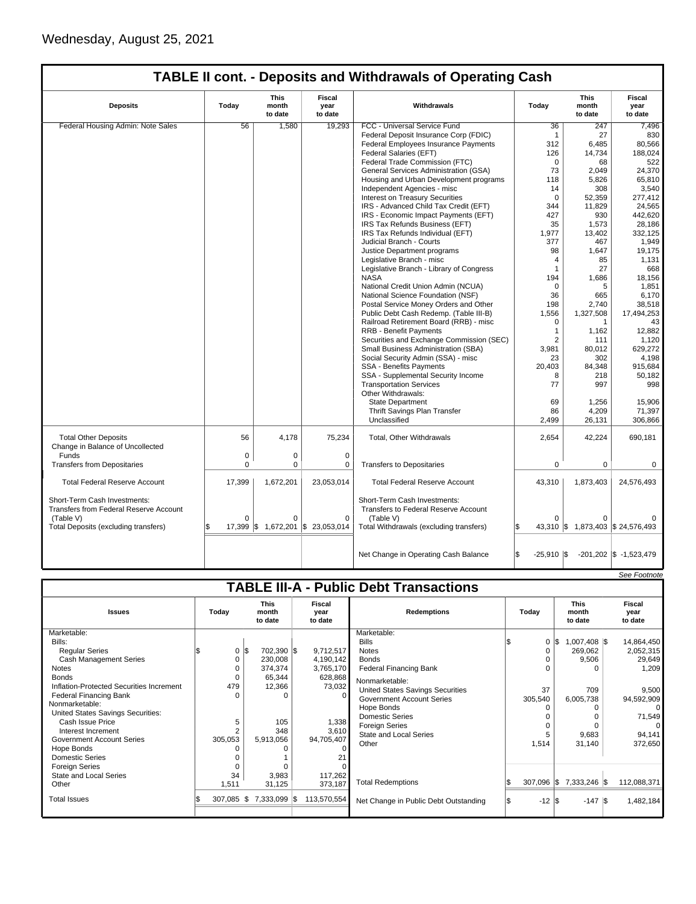| <b>TABLE II cont. - Deposits and Withdrawals of Operating Cash</b> |
|--------------------------------------------------------------------|
|--------------------------------------------------------------------|

| <b>Deposits</b>                                                                     | Today    | This<br>month<br>to date | Fiscal<br>year<br>to date | Withdrawals                                                                       | Today                       | This<br>month<br>to date          | Fiscal<br>year<br>to date  |
|-------------------------------------------------------------------------------------|----------|--------------------------|---------------------------|-----------------------------------------------------------------------------------|-----------------------------|-----------------------------------|----------------------------|
| Federal Housing Admin: Note Sales                                                   | 56       | 1,580                    | 19,293                    | FCC - Universal Service Fund                                                      | 36                          | 247                               | 7,496                      |
|                                                                                     |          |                          |                           | Federal Deposit Insurance Corp (FDIC)                                             | $\mathbf{1}$                | 27                                | 830                        |
|                                                                                     |          |                          |                           | Federal Employees Insurance Payments                                              | 312                         | 6,485                             | 80,566                     |
|                                                                                     |          |                          |                           | Federal Salaries (EFT)                                                            | 126                         | 14,734                            | 188,024                    |
|                                                                                     |          |                          |                           | Federal Trade Commission (FTC)                                                    | $\mathbf 0$                 | 68                                | 522                        |
|                                                                                     |          |                          |                           | General Services Administration (GSA)                                             | 73                          | 2,049                             | 24,370                     |
|                                                                                     |          |                          |                           | Housing and Urban Development programs                                            | 118                         | 5,826                             | 65,810                     |
|                                                                                     |          |                          |                           | Independent Agencies - misc                                                       | 14                          | 308                               | 3,540                      |
|                                                                                     |          |                          |                           | Interest on Treasury Securities                                                   | $\Omega$                    | 52.359                            | 277.412                    |
|                                                                                     |          |                          |                           | IRS - Advanced Child Tax Credit (EFT)                                             | 344                         | 11,829                            | 24,565                     |
|                                                                                     |          |                          |                           |                                                                                   |                             |                                   |                            |
|                                                                                     |          |                          |                           | IRS - Economic Impact Payments (EFT)                                              | 427                         | 930                               | 442,620                    |
|                                                                                     |          |                          |                           | IRS Tax Refunds Business (EFT)                                                    | 35                          | 1,573                             | 28,186                     |
|                                                                                     |          |                          |                           | IRS Tax Refunds Individual (EFT)                                                  | 1,977                       | 13,402                            | 332,125                    |
|                                                                                     |          |                          |                           | Judicial Branch - Courts                                                          | 377                         | 467                               | 1,949                      |
|                                                                                     |          |                          |                           | Justice Department programs                                                       | 98                          | 1,647                             | 19,175                     |
|                                                                                     |          |                          |                           | Legislative Branch - misc                                                         | $\overline{4}$              | 85                                | 1,131                      |
|                                                                                     |          |                          |                           | Legislative Branch - Library of Congress                                          | $\overline{1}$              | 27                                | 668                        |
|                                                                                     |          |                          |                           | <b>NASA</b>                                                                       | 194                         | 1,686                             | 18,156                     |
|                                                                                     |          |                          |                           | National Credit Union Admin (NCUA)                                                | $\Omega$                    | 5                                 | 1,851                      |
|                                                                                     |          |                          |                           | National Science Foundation (NSF)                                                 | 36                          | 665                               | 6,170                      |
|                                                                                     |          |                          |                           | Postal Service Money Orders and Other                                             | 198                         | 2,740                             | 38,518                     |
|                                                                                     |          |                          |                           | Public Debt Cash Redemp. (Table III-B)                                            | 1,556                       | 1,327,508                         | 17,494,253                 |
|                                                                                     |          |                          |                           | Railroad Retirement Board (RRB) - misc                                            | $\Omega$                    | $\mathbf{1}$                      | 43                         |
|                                                                                     |          |                          |                           | RRB - Benefit Payments                                                            | $\mathbf{1}$                | 1,162                             | 12,882                     |
|                                                                                     |          |                          |                           | Securities and Exchange Commission (SEC)                                          | $\overline{2}$              | 111                               | 1,120                      |
|                                                                                     |          |                          |                           | Small Business Administration (SBA)                                               | 3,981                       | 80,012                            | 629,272                    |
|                                                                                     |          |                          |                           | Social Security Admin (SSA) - misc                                                | 23                          | 302                               | 4.198                      |
|                                                                                     |          |                          |                           | SSA - Benefits Payments                                                           | 20,403                      | 84,348                            | 915,684                    |
|                                                                                     |          |                          |                           | SSA - Supplemental Security Income                                                | 8                           | 218                               | 50.182                     |
|                                                                                     |          |                          |                           | <b>Transportation Services</b>                                                    | 77                          | 997                               | 998                        |
|                                                                                     |          |                          |                           | Other Withdrawals:                                                                |                             |                                   |                            |
|                                                                                     |          |                          |                           | <b>State Department</b>                                                           | 69                          | 1,256                             | 15,906                     |
|                                                                                     |          |                          |                           |                                                                                   | 86                          | 4,209                             |                            |
|                                                                                     |          |                          |                           | Thrift Savings Plan Transfer<br>Unclassified                                      |                             |                                   | 71,397                     |
|                                                                                     |          |                          |                           |                                                                                   | 2,499                       | 26,131                            | 306.866                    |
| <b>Total Other Deposits</b><br>Change in Balance of Uncollected                     | 56       | 4.178                    | 75,234                    | Total, Other Withdrawals                                                          | 2,654                       | 42,224                            | 690,181                    |
| Funds                                                                               | 0        | 0                        | $\mathbf 0$               |                                                                                   |                             |                                   |                            |
| <b>Transfers from Depositaries</b>                                                  | 0        | $\mathbf 0$              | $\Omega$                  | <b>Transfers to Depositaries</b>                                                  | $\mathbf 0$                 | $\mathbf 0$                       | $\mathbf 0$                |
|                                                                                     |          |                          |                           |                                                                                   |                             |                                   |                            |
| <b>Total Federal Reserve Account</b>                                                | 17,399   | 1,672,201                | 23,053,014                | <b>Total Federal Reserve Account</b>                                              | 43,310                      | 1,873,403                         | 24,576,493                 |
| Short-Term Cash Investments:<br>Transfers from Federal Reserve Account<br>(Table V) | $\Omega$ | $\Omega$                 | $\Omega$                  | Short-Term Cash Investments:<br>Transfers to Federal Reserve Account<br>(Table V) | $\Omega$                    |                                   |                            |
| Total Deposits (excluding transfers)                                                | 17,399   | \$1,672,201              | \$23,053,014              | Total Withdrawals (excluding transfers)                                           |                             | 43,310 \$ 1,873,403 \$ 24,576,493 |                            |
|                                                                                     |          |                          |                           |                                                                                   |                             |                                   |                            |
|                                                                                     |          |                          |                           | Net Change in Operating Cash Balance                                              | l\$<br>$-25,910$ $\sqrt{5}$ |                                   | $-201,202$ \$ $-1,523,479$ |

|                                                                                                                                                                                                                                                                                                                                                                                                                                |                                                     |                                                                                                                                    |                                                                                                                |                                                                                                                                                                                                                                                                                                                                      |                             |                                                                                                                         | See Footnote                                                                                                                            |
|--------------------------------------------------------------------------------------------------------------------------------------------------------------------------------------------------------------------------------------------------------------------------------------------------------------------------------------------------------------------------------------------------------------------------------|-----------------------------------------------------|------------------------------------------------------------------------------------------------------------------------------------|----------------------------------------------------------------------------------------------------------------|--------------------------------------------------------------------------------------------------------------------------------------------------------------------------------------------------------------------------------------------------------------------------------------------------------------------------------------|-----------------------------|-------------------------------------------------------------------------------------------------------------------------|-----------------------------------------------------------------------------------------------------------------------------------------|
|                                                                                                                                                                                                                                                                                                                                                                                                                                |                                                     |                                                                                                                                    |                                                                                                                | <b>TABLE III-A - Public Debt Transactions</b>                                                                                                                                                                                                                                                                                        |                             |                                                                                                                         |                                                                                                                                         |
| <b>Issues</b>                                                                                                                                                                                                                                                                                                                                                                                                                  |                                                     | <b>This</b><br>Today<br>month<br>to date                                                                                           |                                                                                                                | <b>Redemptions</b>                                                                                                                                                                                                                                                                                                                   | Today                       | <b>This</b><br>month<br>to date                                                                                         | Fiscal<br>year<br>to date                                                                                                               |
| Marketable:<br>Bills:<br><b>Regular Series</b><br><b>Cash Management Series</b><br><b>Notes</b><br><b>Bonds</b><br>Inflation-Protected Securities Increment<br><b>Federal Financing Bank</b><br>Nonmarketable:<br>United States Savings Securities:<br>Cash Issue Price<br>Interest Increment<br><b>Government Account Series</b><br>Hope Bonds<br>Domestic Series<br><b>Foreign Series</b><br>State and Local Series<br>Other | 0<br>$\Omega$<br>479<br>5<br>305,053<br>34<br>1,511 | $0 \,$ $\upbeta$<br>702,390 \$<br>230,008<br>374,374<br>65,344<br>12,366<br>$\Omega$<br>105<br>348<br>5,913,056<br>3,983<br>31,125 | 9,712,517<br>4,190,142<br>3,765,170<br>628,868<br>73,032<br>1,338<br>3,610<br>94,705,407<br>117,262<br>373,187 | Marketable:<br><b>Bills</b><br><b>Notes</b><br><b>Bonds</b><br><b>Federal Financing Bank</b><br>Nonmarketable:<br><b>United States Savings Securities</b><br><b>Government Account Series</b><br>Hope Bonds<br><b>Domestic Series</b><br><b>Foreign Series</b><br><b>State and Local Series</b><br>Other<br><b>Total Redemptions</b> | 0<br>37<br>305,540<br>1,514 | $1,007,408$ \\$<br>1\$<br>269,062<br>9,506<br>709<br>6,005,738<br>$\Omega$<br>9,683<br>31,140<br>307,096 \$7,333,246 \$ | 14,864,450<br>2,052,315<br>29,649<br>1,209<br>9,500<br>94,592,909<br>$\Omega$<br>71,549<br>$\Omega$<br>94,141<br>372,650<br>112,088,371 |
| <b>Total Issues</b>                                                                                                                                                                                                                                                                                                                                                                                                            | 307,085                                             | 7,333,099 \$<br>IS.                                                                                                                | 113,570,554                                                                                                    | Net Change in Public Debt Outstanding                                                                                                                                                                                                                                                                                                | $-12$ $\sqrt{3}$<br>1\$     | $-147$ $\sqrt{3}$                                                                                                       | 1,482,184                                                                                                                               |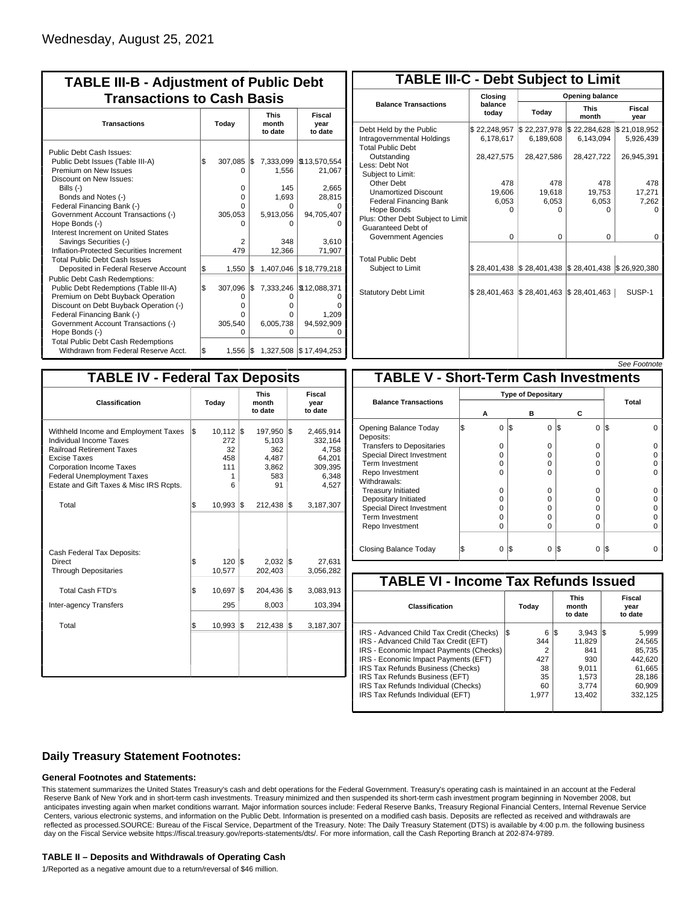| <b>TABLE III-B - Adjustment of Public Debt</b><br><b>Transactions to Cash Basis</b>                                                                                                                             |           |                               |            |                                      |                                           |  |  |                                 |                           |  |
|-----------------------------------------------------------------------------------------------------------------------------------------------------------------------------------------------------------------|-----------|-------------------------------|------------|--------------------------------------|-------------------------------------------|--|--|---------------------------------|---------------------------|--|
| <b>Transactions</b>                                                                                                                                                                                             | Today     |                               |            |                                      |                                           |  |  | <b>This</b><br>month<br>to date | Fiscal<br>year<br>to date |  |
| Public Debt Cash Issues:<br>Public Debt Issues (Table III-A)<br>Premium on New Issues<br>Discount on New Issues:<br>Bills $(-)$<br>Bonds and Notes (-)                                                          | \$        | 307,085<br>O<br>$\Omega$<br>0 | I\$        | 7,333,099<br>1,556<br>145<br>1,693   | \$13,570,554<br>21,067<br>2,665<br>28,815 |  |  |                                 |                           |  |
| Federal Financing Bank (-)<br>Government Account Transactions (-)<br>Hope Bonds (-)<br>Interest Increment on United States<br>Savings Securities (-)<br>Inflation-Protected Securities Increment                |           | n<br>305,053<br>2<br>479      |            | O<br>5,913,056<br>O<br>348<br>12,366 | 94,705,407<br>3.610<br>71,907             |  |  |                                 |                           |  |
| <b>Total Public Debt Cash Issues</b><br>Deposited in Federal Reserve Account<br>Public Debt Cash Redemptions:<br>Public Debt Redemptions (Table III-A)                                                          | \$<br>l\$ | 1,550<br>307,096              | l\$<br>l\$ | 1,407,046<br>7,333,246               | \$18,779,218<br>\$12,088,371              |  |  |                                 |                           |  |
| Premium on Debt Buyback Operation<br>Discount on Debt Buyback Operation (-)<br>Federal Financing Bank (-)<br>Government Account Transactions (-)<br>Hope Bonds (-)<br><b>Total Public Debt Cash Redemptions</b> |           | 0<br>o<br>o<br>305,540<br>ი   |            | 0<br>0<br>0<br>6,005,738<br>O        | n<br>1.209<br>94,592,909<br>Ω             |  |  |                                 |                           |  |
| Withdrawn from Federal Reserve Acct.                                                                                                                                                                            | l\$       | $1,556$ $\sqrt{5}$            |            |                                      | 1,327,508 \$17,494,253                    |  |  |                                 |                           |  |

| <b>TABLE III-C - Debt Subject to Limit</b>                                        |                           |                                                           |                           |                           |  |  |  |  |  |  |
|-----------------------------------------------------------------------------------|---------------------------|-----------------------------------------------------------|---------------------------|---------------------------|--|--|--|--|--|--|
|                                                                                   | Closing                   | Opening balance                                           |                           |                           |  |  |  |  |  |  |
| <b>Balance Transactions</b>                                                       | balance<br>todav          | Today                                                     | <b>This</b><br>month      | Fiscal<br>year            |  |  |  |  |  |  |
| Debt Held by the Public<br>Intragovernmental Holdings<br><b>Total Public Debt</b> | \$22,248,957<br>6.178.617 | \$22,237,978<br>6,189,608                                 | \$22,284,628<br>6.143.094 | \$21,018,952<br>5,926,439 |  |  |  |  |  |  |
| Outstanding<br>Less: Debt Not<br>Subject to Limit:                                | 28,427,575                | 28,427,586                                                | 28,427,722                | 26,945,391                |  |  |  |  |  |  |
| Other Debt                                                                        | 478                       | 478                                                       | 478                       | 478                       |  |  |  |  |  |  |
| <b>Unamortized Discount</b>                                                       | 19,606                    | 19,618                                                    | 19,753                    | 17,271                    |  |  |  |  |  |  |
| <b>Federal Financing Bank</b>                                                     | 6,053                     | 6,053                                                     | 6,053                     | 7,262                     |  |  |  |  |  |  |
| Hope Bonds<br>Plus: Other Debt Subject to Limit<br>Guaranteed Debt of             | 0                         | O                                                         | 0                         | o                         |  |  |  |  |  |  |
| Government Agencies                                                               | $\Omega$                  | $\Omega$                                                  | 0                         | 0                         |  |  |  |  |  |  |
| <b>Total Public Debt</b><br>Subject to Limit                                      |                           | \$28,401,438   \$28,401,438   \$28,401,438   \$26,920,380 |                           |                           |  |  |  |  |  |  |
| <b>Statutory Debt Limit</b>                                                       | \$28,401,463              | \$28,401,463                                              | \$28,401,463              | SUSP-1                    |  |  |  |  |  |  |
|                                                                                   |                           |                                                           |                           |                           |  |  |  |  |  |  |

| See Footnote |
|--------------|
|--------------|

| <b>TABLE IV - Federal Tax Deposits</b>                                                                                                                                                                                                               |       |                                                  |     |                                                           |                           |                                                                      |  |  |  |  |
|------------------------------------------------------------------------------------------------------------------------------------------------------------------------------------------------------------------------------------------------------|-------|--------------------------------------------------|-----|-----------------------------------------------------------|---------------------------|----------------------------------------------------------------------|--|--|--|--|
| Classification                                                                                                                                                                                                                                       | Today |                                                  |     | <b>This</b><br>month<br>to date                           | Fiscal<br>year<br>to date |                                                                      |  |  |  |  |
| Withheld Income and Employment Taxes<br><b>Individual Income Taxes</b><br><b>Railroad Retirement Taxes</b><br><b>Excise Taxes</b><br><b>Corporation Income Taxes</b><br><b>Federal Unemployment Taxes</b><br>Estate and Gift Taxes & Misc IRS Rcpts. | \$    | $10,112$ \$<br>272<br>32<br>458<br>111<br>1<br>6 |     | 197,950 \$<br>5,103<br>362<br>4,487<br>3,862<br>583<br>91 |                           | 2,465,914<br>332,164<br>4,758<br>64,201<br>309,395<br>6,348<br>4,527 |  |  |  |  |
| Total                                                                                                                                                                                                                                                | \$    | $10,993$ \$                                      |     | 212,438 \$                                                |                           | 3,187,307                                                            |  |  |  |  |
| Cash Federal Tax Deposits:<br>Direct<br><b>Through Depositaries</b>                                                                                                                                                                                  | \$    | $120$ $\textsf{\$}$<br>10,577                    |     | $2,032$ \$<br>202,403                                     |                           | 27,631<br>3,056,282                                                  |  |  |  |  |
| Total Cash FTD's<br>Inter-agency Transfers                                                                                                                                                                                                           | \$    | 10,697<br>295                                    | 1\$ | 204,436<br>8,003                                          | 1\$                       | 3,083,913<br>103,394                                                 |  |  |  |  |
| Total                                                                                                                                                                                                                                                | \$    | 10,993                                           | 1\$ | 212,438                                                   | 1\$                       | 3,187,307                                                            |  |  |  |  |
|                                                                                                                                                                                                                                                      |       |                                                  |     |                                                           |                           |                                                                      |  |  |  |  |

|                                              |   |          |     |          |          |     | <i><b>JEE FUULIUIE</b></i> |  |  |
|----------------------------------------------|---|----------|-----|----------|----------|-----|----------------------------|--|--|
| <b>TABLE V - Short-Term Cash Investments</b> |   |          |     |          |          |     |                            |  |  |
|                                              |   |          |     |          |          |     |                            |  |  |
| <b>Balance Transactions</b>                  |   | А        |     | в        | с        |     | <b>Total</b>               |  |  |
| Opening Balance Today<br>Deposits:           | S | $\Omega$ | 1\$ | 0        | l\$<br>0 | l\$ |                            |  |  |
| <b>Transfers to Depositaries</b>             |   | O        |     | 0        | 0        |     |                            |  |  |
| <b>Special Direct Investment</b>             |   | O        |     | 0        | 0        |     |                            |  |  |
| Term Investment                              |   | O        |     | 0        | 0        |     |                            |  |  |
| Repo Investment                              |   | O        |     | $\Omega$ | 0        |     |                            |  |  |
| Withdrawals:                                 |   |          |     |          |          |     |                            |  |  |
| <b>Treasury Initiated</b>                    |   | 0        |     | $\Omega$ | 0        |     |                            |  |  |
| Depositary Initiated                         |   | O        |     | $\Omega$ | 0        |     |                            |  |  |
| <b>Special Direct Investment</b>             |   | O        |     | ŋ        | 0        |     |                            |  |  |
| <b>Term Investment</b>                       |   | O        |     | $\Omega$ | 0        |     |                            |  |  |
| Repo Investment                              |   | 0        |     | $\Omega$ | 0        |     |                            |  |  |
| Closing Balance Today                        |   | 0        | I\$ | $\Omega$ | I\$<br>0 | IS  |                            |  |  |

| <b>TABLE VI - Income Tax Refunds Issued</b> |    |       |                                 |                    |  |                           |  |  |  |  |
|---------------------------------------------|----|-------|---------------------------------|--------------------|--|---------------------------|--|--|--|--|
| Classification                              |    | Today | <b>This</b><br>month<br>to date |                    |  | Fiscal<br>year<br>to date |  |  |  |  |
| IRS - Advanced Child Tax Credit (Checks)    | 13 | 6     | 13                              | $3,943$ $\sqrt{5}$ |  | 5,999                     |  |  |  |  |
| IRS - Advanced Child Tax Credit (EFT)       |    | 344   |                                 | 11.829             |  | 24.565                    |  |  |  |  |
| IRS - Economic Impact Payments (Checks)     |    | 2     |                                 | 841                |  | 85.735                    |  |  |  |  |
| IRS - Economic Impact Payments (EFT)        |    | 427   |                                 | 930                |  | 442.620                   |  |  |  |  |
| IRS Tax Refunds Business (Checks)           |    | 38    |                                 | 9.011              |  | 61.665                    |  |  |  |  |
| IRS Tax Refunds Business (EFT)              |    | 35    |                                 | 1.573              |  | 28.186                    |  |  |  |  |
| IRS Tax Refunds Individual (Checks)         |    | 60    |                                 | 3.774              |  | 60,909                    |  |  |  |  |
| IRS Tax Refunds Individual (EFT)            |    | 1.977 |                                 | 13,402             |  | 332,125                   |  |  |  |  |
|                                             |    |       |                                 |                    |  |                           |  |  |  |  |

## **Daily Treasury Statement Footnotes:**

### **General Footnotes and Statements:**

This statement summarizes the United States Treasury's cash and debt operations for the Federal Government. Treasury's operating cash is maintained in an account at the Federal Reserve Bank of New York and in short-term cash investments. Treasury minimized and then suspended its short-term cash investment program beginning in November 2008, but anticipates investing again when market conditions warrant. Major information sources include: Federal Reserve Banks, Treasury Regional Financial Centers, Internal Revenue Service Centers, various electronic systems, and information on the Public Debt. Information is presented on a modified cash basis. Deposits are reflected as received and withdrawals are reflected as processed.SOURCE: Bureau of the Fiscal Service, Department of the Treasury. Note: The Daily Treasury Statement (DTS) is available by 4:00 p.m. the following business day on the Fiscal Service website https://fiscal.treasury.gov/reports-statements/dts/. For more information, call the Cash Reporting Branch at 202-874-9789.

#### **TABLE II – Deposits and Withdrawals of Operating Cash**

1/Reported as a negative amount due to a return/reversal of \$46 million.